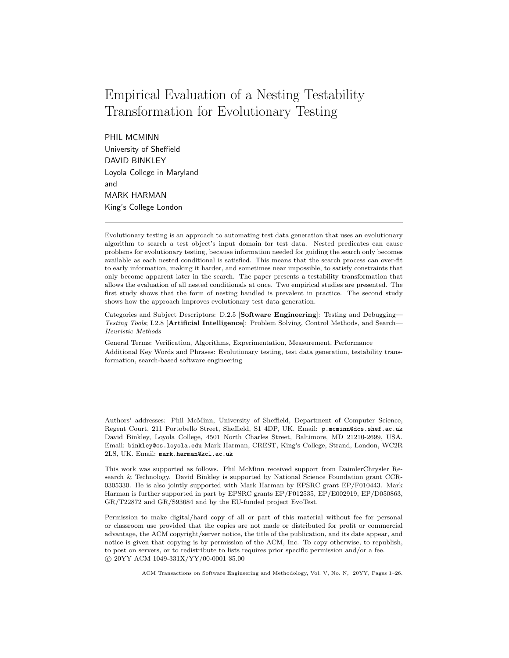# Empirical Evaluation of a Nesting Testability Transformation for Evolutionary Testing

PHIL MCMINN University of Sheffield DAVID BINKLEY Loyola College in Maryland and MARK HARMAN King's College London

Evolutionary testing is an approach to automating test data generation that uses an evolutionary algorithm to search a test object's input domain for test data. Nested predicates can cause problems for evolutionary testing, because information needed for guiding the search only becomes available as each nested conditional is satisfied. This means that the search process can over-fit to early information, making it harder, and sometimes near impossible, to satisfy constraints that only become apparent later in the search. The paper presents a testability transformation that allows the evaluation of all nested conditionals at once. Two empirical studies are presented. The first study shows that the form of nesting handled is prevalent in practice. The second study shows how the approach improves evolutionary test data generation.

Categories and Subject Descriptors: D.2.5 [Software Engineering]: Testing and Debugging— Testing Tools; I.2.8 [Artificial Intelligence]: Problem Solving, Control Methods, and Search— Heuristic Methods

General Terms: Verification, Algorithms, Experimentation, Measurement, Performance Additional Key Words and Phrases: Evolutionary testing, test data generation, testability transformation, search-based software engineering

Authors' addresses: Phil McMinn, University of Sheffield, Department of Computer Science, Regent Court, 211 Portobello Street, Sheffield, S1 4DP, UK. Email: p.mcminn@dcs.shef.ac.uk David Binkley, Loyola College, 4501 North Charles Street, Baltimore, MD 21210-2699, USA. Email: binkley@cs.loyola.edu Mark Harman, CREST, King's College, Strand, London, WC2R 2LS, UK. Email: mark.harman@kcl.ac.uk

This work was supported as follows. Phil McMinn received support from DaimlerChrysler Research & Technology. David Binkley is supported by National Science Foundation grant CCR-0305330. He is also jointly supported with Mark Harman by EPSRC grant EP/F010443. Mark Harman is further supported in part by EPSRC grants EP/F012535, EP/E002919, EP/D050863, GR/T22872 and GR/S93684 and by the EU-funded project EvoTest.

Permission to make digital/hard copy of all or part of this material without fee for personal or classroom use provided that the copies are not made or distributed for profit or commercial advantage, the ACM copyright/server notice, the title of the publication, and its date appear, and notice is given that copying is by permission of the ACM, Inc. To copy otherwise, to republish, to post on servers, or to redistribute to lists requires prior specific permission and/or a fee. c 20YY ACM 1049-331X/YY/00-0001 \$5.00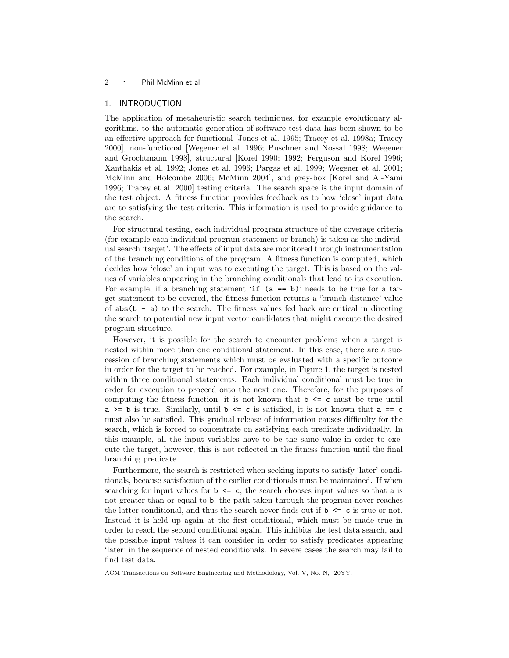## 1. INTRODUCTION

The application of metaheuristic search techniques, for example evolutionary algorithms, to the automatic generation of software test data has been shown to be an effective approach for functional [Jones et al. 1995; Tracey et al. 1998a; Tracey 2000], non-functional [Wegener et al. 1996; Puschner and Nossal 1998; Wegener and Grochtmann 1998], structural [Korel 1990; 1992; Ferguson and Korel 1996; Xanthakis et al. 1992; Jones et al. 1996; Pargas et al. 1999; Wegener et al. 2001; McMinn and Holcombe 2006; McMinn 2004], and grey-box [Korel and Al-Yami 1996; Tracey et al. 2000] testing criteria. The search space is the input domain of the test object. A fitness function provides feedback as to how 'close' input data are to satisfying the test criteria. This information is used to provide guidance to the search.

For structural testing, each individual program structure of the coverage criteria (for example each individual program statement or branch) is taken as the individual search 'target'. The effects of input data are monitored through instrumentation of the branching conditions of the program. A fitness function is computed, which decides how 'close' an input was to executing the target. This is based on the values of variables appearing in the branching conditionals that lead to its execution. For example, if a branching statement 'if  $(a == b)$ ' needs to be true for a target statement to be covered, the fitness function returns a 'branch distance' value of  $abs(b - a)$  to the search. The fitness values fed back are critical in directing the search to potential new input vector candidates that might execute the desired program structure.

However, it is possible for the search to encounter problems when a target is nested within more than one conditional statement. In this case, there are a succession of branching statements which must be evaluated with a specific outcome in order for the target to be reached. For example, in Figure 1, the target is nested within three conditional statements. Each individual conditional must be true in order for execution to proceed onto the next one. Therefore, for the purposes of computing the fitness function, it is not known that  $\mathbf{b} \leq \mathbf{c}$  must be true until a  $\geq$  b is true. Similarly, until b  $\leq$  c is satisfied, it is not known that a  $== c$ must also be satisfied. This gradual release of information causes difficulty for the search, which is forced to concentrate on satisfying each predicate individually. In this example, all the input variables have to be the same value in order to execute the target, however, this is not reflected in the fitness function until the final branching predicate.

Furthermore, the search is restricted when seeking inputs to satisfy 'later' conditionals, because satisfaction of the earlier conditionals must be maintained. If when searching for input values for  $\flat \leq c$ , the search chooses input values so that a is not greater than or equal to b, the path taken through the program never reaches the latter conditional, and thus the search never finds out if  $b \leq c$  is true or not. Instead it is held up again at the first conditional, which must be made true in order to reach the second conditional again. This inhibits the test data search, and the possible input values it can consider in order to satisfy predicates appearing 'later' in the sequence of nested conditionals. In severe cases the search may fail to find test data.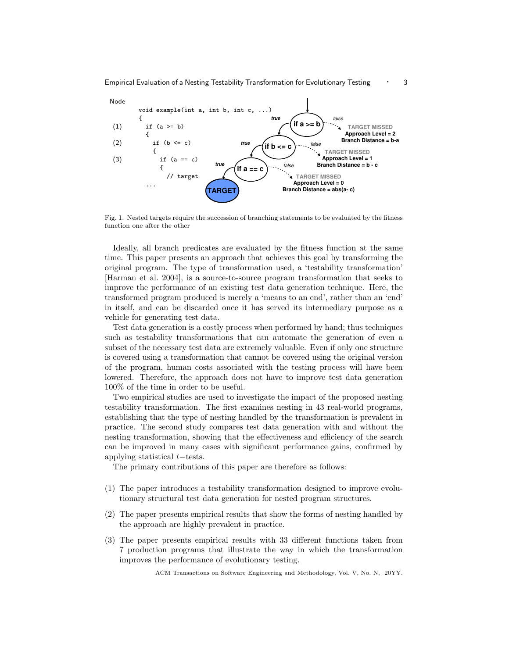Empirical Evaluation of a Nesting Testability Transformation for Evolutionary Testing  $\cdot$  3



Fig. 1. Nested targets require the succession of branching statements to be evaluated by the fitness function one after the other

Ideally, all branch predicates are evaluated by the fitness function at the same time. This paper presents an approach that achieves this goal by transforming the original program. The type of transformation used, a 'testability transformation' [Harman et al. 2004], is a source-to-source program transformation that seeks to improve the performance of an existing test data generation technique. Here, the transformed program produced is merely a 'means to an end', rather than an 'end' in itself, and can be discarded once it has served its intermediary purpose as a vehicle for generating test data.

Test data generation is a costly process when performed by hand; thus techniques such as testability transformations that can automate the generation of even a subset of the necessary test data are extremely valuable. Even if only one structure is covered using a transformation that cannot be covered using the original version of the program, human costs associated with the testing process will have been lowered. Therefore, the approach does not have to improve test data generation 100% of the time in order to be useful.

Two empirical studies are used to investigate the impact of the proposed nesting testability transformation. The first examines nesting in 43 real-world programs, establishing that the type of nesting handled by the transformation is prevalent in practice. The second study compares test data generation with and without the nesting transformation, showing that the effectiveness and efficiency of the search can be improved in many cases with significant performance gains, confirmed by applying statistical t−tests.

The primary contributions of this paper are therefore as follows:

- (1) The paper introduces a testability transformation designed to improve evolutionary structural test data generation for nested program structures.
- (2) The paper presents empirical results that show the forms of nesting handled by the approach are highly prevalent in practice.
- (3) The paper presents empirical results with 33 different functions taken from 7 production programs that illustrate the way in which the transformation improves the performance of evolutionary testing.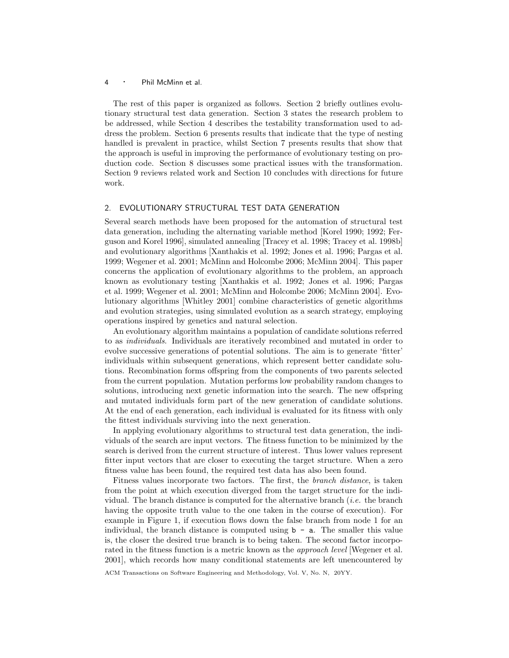The rest of this paper is organized as follows. Section 2 briefly outlines evolutionary structural test data generation. Section 3 states the research problem to be addressed, while Section 4 describes the testability transformation used to address the problem. Section 6 presents results that indicate that the type of nesting handled is prevalent in practice, whilst Section 7 presents results that show that the approach is useful in improving the performance of evolutionary testing on production code. Section 8 discusses some practical issues with the transformation. Section 9 reviews related work and Section 10 concludes with directions for future work.

# 2. EVOLUTIONARY STRUCTURAL TEST DATA GENERATION

Several search methods have been proposed for the automation of structural test data generation, including the alternating variable method [Korel 1990; 1992; Ferguson and Korel 1996], simulated annealing [Tracey et al. 1998; Tracey et al. 1998b] and evolutionary algorithms [Xanthakis et al. 1992; Jones et al. 1996; Pargas et al. 1999; Wegener et al. 2001; McMinn and Holcombe 2006; McMinn 2004]. This paper concerns the application of evolutionary algorithms to the problem, an approach known as evolutionary testing [Xanthakis et al. 1992; Jones et al. 1996; Pargas et al. 1999; Wegener et al. 2001; McMinn and Holcombe 2006; McMinn 2004]. Evolutionary algorithms [Whitley 2001] combine characteristics of genetic algorithms and evolution strategies, using simulated evolution as a search strategy, employing operations inspired by genetics and natural selection.

An evolutionary algorithm maintains a population of candidate solutions referred to as individuals. Individuals are iteratively recombined and mutated in order to evolve successive generations of potential solutions. The aim is to generate 'fitter' individuals within subsequent generations, which represent better candidate solutions. Recombination forms offspring from the components of two parents selected from the current population. Mutation performs low probability random changes to solutions, introducing next genetic information into the search. The new offspring and mutated individuals form part of the new generation of candidate solutions. At the end of each generation, each individual is evaluated for its fitness with only the fittest individuals surviving into the next generation.

In applying evolutionary algorithms to structural test data generation, the individuals of the search are input vectors. The fitness function to be minimized by the search is derived from the current structure of interest. Thus lower values represent fitter input vectors that are closer to executing the target structure. When a zero fitness value has been found, the required test data has also been found.

Fitness values incorporate two factors. The first, the branch distance, is taken from the point at which execution diverged from the target structure for the individual. The branch distance is computed for the alternative branch  $(i.e.$  the branch having the opposite truth value to the one taken in the course of execution). For example in Figure 1, if execution flows down the false branch from node 1 for an individual, the branch distance is computed using  $b - a$ . The smaller this value is, the closer the desired true branch is to being taken. The second factor incorporated in the fitness function is a metric known as the *approach level* [Wegener et al. 2001], which records how many conditional statements are left unencountered by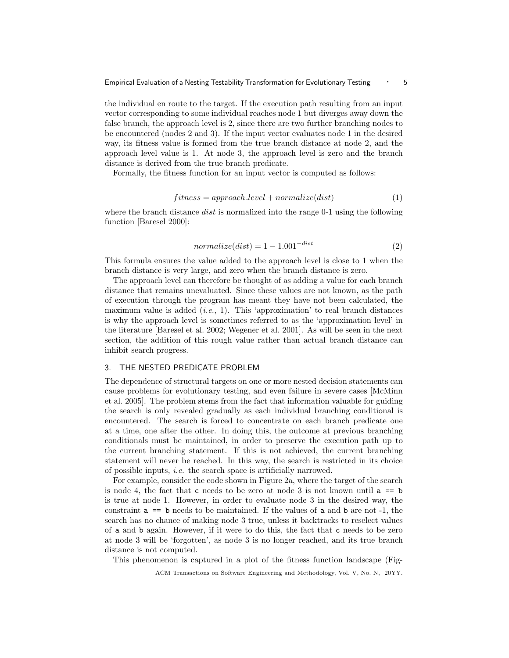the individual en route to the target. If the execution path resulting from an input vector corresponding to some individual reaches node 1 but diverges away down the false branch, the approach level is 2, since there are two further branching nodes to be encountered (nodes 2 and 3). If the input vector evaluates node 1 in the desired way, its fitness value is formed from the true branch distance at node 2, and the approach level value is 1. At node 3, the approach level is zero and the branch distance is derived from the true branch predicate.

Formally, the fitness function for an input vector is computed as follows:

$$
fitness = approach\_level + normalize(dist)
$$
\n<sup>(1)</sup>

where the branch distance *dist* is normalized into the range 0-1 using the following function [Baresel 2000]:

$$
normalize(dist) = 1 - 1.001^{-dist}
$$
\n<sup>(2)</sup>

This formula ensures the value added to the approach level is close to 1 when the branch distance is very large, and zero when the branch distance is zero.

The approach level can therefore be thought of as adding a value for each branch distance that remains unevaluated. Since these values are not known, as the path of execution through the program has meant they have not been calculated, the maximum value is added  $(i.e., 1)$ . This 'approximation' to real branch distances is why the approach level is sometimes referred to as the 'approximation level' in the literature [Baresel et al. 2002; Wegener et al. 2001]. As will be seen in the next section, the addition of this rough value rather than actual branch distance can inhibit search progress.

#### THE NESTED PREDICATE PROBLEM

The dependence of structural targets on one or more nested decision statements can cause problems for evolutionary testing, and even failure in severe cases [McMinn et al. 2005]. The problem stems from the fact that information valuable for guiding the search is only revealed gradually as each individual branching conditional is encountered. The search is forced to concentrate on each branch predicate one at a time, one after the other. In doing this, the outcome at previous branching conditionals must be maintained, in order to preserve the execution path up to the current branching statement. If this is not achieved, the current branching statement will never be reached. In this way, the search is restricted in its choice of possible inputs, i.e. the search space is artificially narrowed.

For example, consider the code shown in Figure 2a, where the target of the search is node 4, the fact that c needs to be zero at node 3 is not known until  $a == b$ is true at node 1. However, in order to evaluate node 3 in the desired way, the constraint  $a == b$  needs to be maintained. If the values of a and b are not -1, the search has no chance of making node 3 true, unless it backtracks to reselect values of a and b again. However, if it were to do this, the fact that c needs to be zero at node 3 will be 'forgotten', as node 3 is no longer reached, and its true branch distance is not computed.

This phenomenon is captured in a plot of the fitness function landscape (Fig-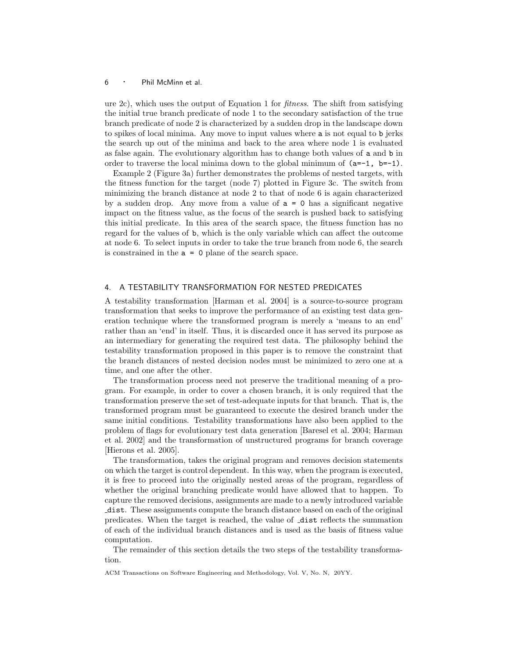ure  $2c$ ), which uses the output of Equation 1 for *fitness*. The shift from satisfying the initial true branch predicate of node 1 to the secondary satisfaction of the true branch predicate of node 2 is characterized by a sudden drop in the landscape down to spikes of local minima. Any move to input values where a is not equal to b jerks the search up out of the minima and back to the area where node 1 is evaluated as false again. The evolutionary algorithm has to change both values of a and b in order to traverse the local minima down to the global minimum of  $(a=-1, b=-1)$ .

Example 2 (Figure 3a) further demonstrates the problems of nested targets, with the fitness function for the target (node 7) plotted in Figure 3c. The switch from minimizing the branch distance at node 2 to that of node 6 is again characterized by a sudden drop. Any move from a value of  $a = 0$  has a significant negative impact on the fitness value, as the focus of the search is pushed back to satisfying this initial predicate. In this area of the search space, the fitness function has no regard for the values of b, which is the only variable which can affect the outcome at node 6. To select inputs in order to take the true branch from node 6, the search is constrained in the a = 0 plane of the search space.

# 4. A TESTABILITY TRANSFORMATION FOR NESTED PREDICATES

A testability transformation [Harman et al. 2004] is a source-to-source program transformation that seeks to improve the performance of an existing test data generation technique where the transformed program is merely a 'means to an end' rather than an 'end' in itself. Thus, it is discarded once it has served its purpose as an intermediary for generating the required test data. The philosophy behind the testability transformation proposed in this paper is to remove the constraint that the branch distances of nested decision nodes must be minimized to zero one at a time, and one after the other.

The transformation process need not preserve the traditional meaning of a program. For example, in order to cover a chosen branch, it is only required that the transformation preserve the set of test-adequate inputs for that branch. That is, the transformed program must be guaranteed to execute the desired branch under the same initial conditions. Testability transformations have also been applied to the problem of flags for evolutionary test data generation [Baresel et al. 2004; Harman et al. 2002] and the transformation of unstructured programs for branch coverage [Hierons et al. 2005].

The transformation, takes the original program and removes decision statements on which the target is control dependent. In this way, when the program is executed, it is free to proceed into the originally nested areas of the program, regardless of whether the original branching predicate would have allowed that to happen. To capture the removed decisions, assignments are made to a newly introduced variable dist. These assignments compute the branch distance based on each of the original predicates. When the target is reached, the value of dist reflects the summation of each of the individual branch distances and is used as the basis of fitness value computation.

The remainder of this section details the two steps of the testability transformation.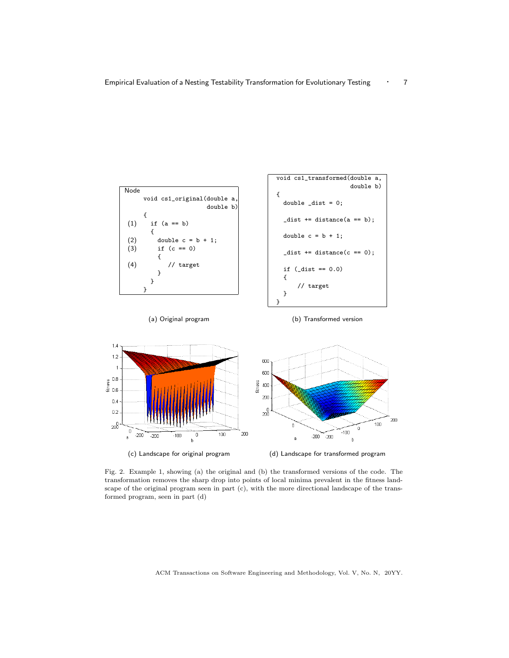

Fig. 2. Example 1, showing (a) the original and (b) the transformed versions of the code. The transformation removes the sharp drop into points of local minima prevalent in the fitness landscape of the original program seen in part (c), with the more directional landscape of the transformed program, seen in part (d)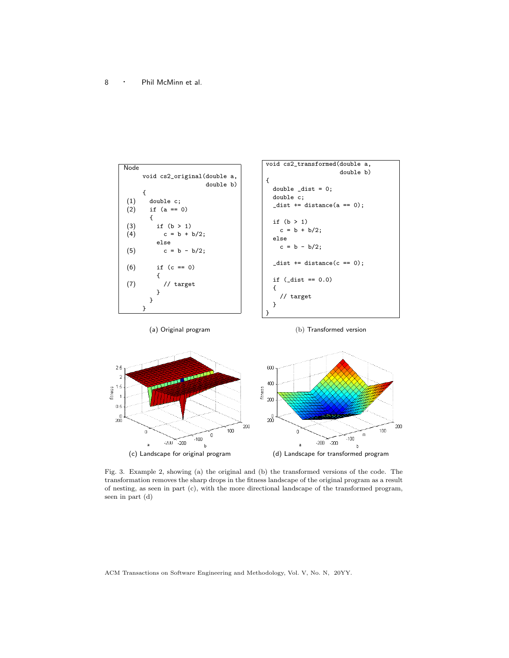

(c) Landscape for original program (d) Landscape for transformed program

 $\overline{0}$ 

a

 $-200$  $-200$  200

100

 $\Omega$ 

 $-100$ 

 $^{\rm b}$ 

Fig. 3. Example 2, showing (a) the original and (b) the transformed versions of the code. The transformation removes the sharp drops in the fitness landscape of the original program as a result of nesting, as seen in part (c), with the more directional landscape of the transformed program,

200 100

 $\,0\,$ 

 $-100$ 

 $\mathsf b$ 

ACM Transactions on Software Engineering and Methodology, Vol. V, No. N, 20YY.

seen in part (d)

 $\begin{smallmatrix}&&0\\&200\end{smallmatrix}$ 

 $\mathbb O$ 

a

 $-200$  $\degree$ -200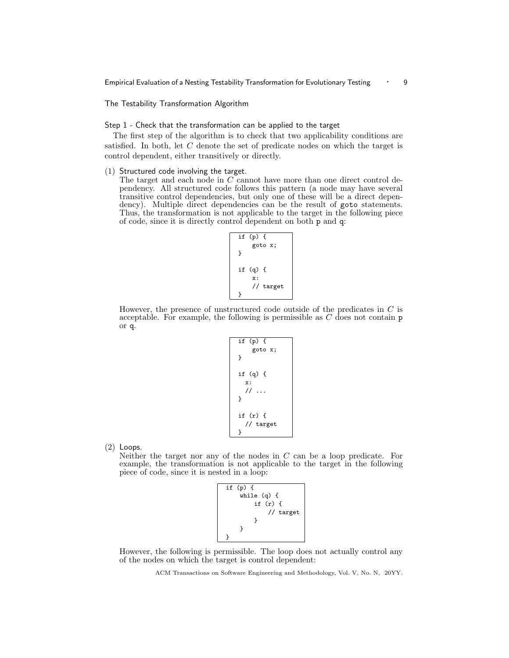#### The Testability Transformation Algorithm

## Step 1 - Check that the transformation can be applied to the target

The first step of the algorithm is to check that two applicability conditions are satisfied. In both, let C denote the set of predicate nodes on which the target is control dependent, either transitively or directly.

#### (1) Structured code involving the target.

The target and each node in  $C$  cannot have more than one direct control dependency. All structured code follows this pattern (a node may have several transitive control dependencies, but only one of these will be a direct dependency). Multiple direct dependencies can be the result of goto statements. Thus, the transformation is not applicable to the target in the following piece of code, since it is directly control dependent on both p and q:

```
if (p) {
   goto x;
}
if (q) {
    x:
    // target
}
```
However, the presence of unstructured code outside of the predicates in  $C$  is acceptable. For example, the following is permissible as  $C$  does not contain  $p$ or q.

if (p) { goto x; } if (q) { x: // ... } if (r) { // target }

(2) Loops.

Neither the target nor any of the nodes in C can be a loop predicate. For example, the transformation is not applicable to the target in the following piece of code, since it is nested in a loop:

```
\overline{\text{if}} (p) {
   while (q) {
    if (r) {
              // target
          }
    }
}
```
However, the following is permissible. The loop does not actually control any of the nodes on which the target is control dependent: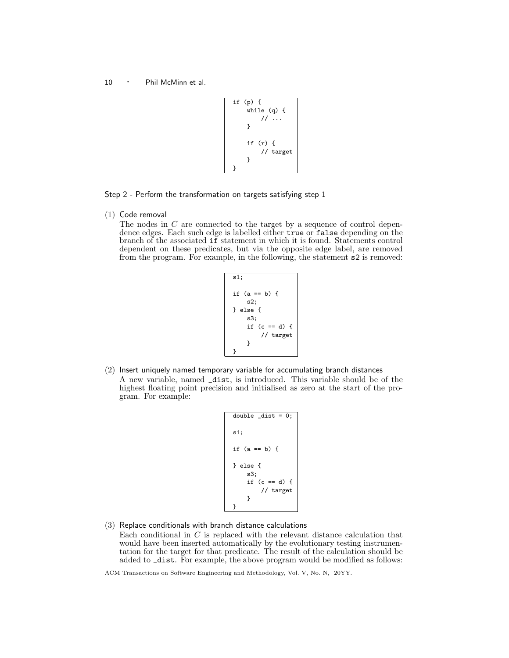```
if (p) {
    while (q) {
         // ...
    }
    if (r) {
         // target
    }
}
```
Step 2 - Perform the transformation on targets satisfying step 1

(1) Code removal

The nodes in  $C$  are connected to the target by a sequence of control dependence edges. Each such edge is labelled either true or false depending on the branch of the associated if statement in which it is found. Statements control dependent on these predicates, but via the opposite edge label, are removed from the program. For example, in the following, the statement s2 is removed:

```
s1;
if (a == b) {
   s2;
} else {
    s3;
    if (c == d) {
        // target
    }
}
```
(2) Insert uniquely named temporary variable for accumulating branch distances A new variable, named \_dist, is introduced. This variable should be of the highest floating point precision and initialised as zero at the start of the program. For example:

```
double dist = 0;s1;
if (a == b) {
} else {
    s3;
    if (c == d) {
        // target
    }
}
```
(3) Replace conditionals with branch distance calculations

Each conditional in C is replaced with the relevant distance calculation that would have been inserted automatically by the evolutionary testing instrumentation for the target for that predicate. The result of the calculation should be added to \_dist. For example, the above program would be modified as follows: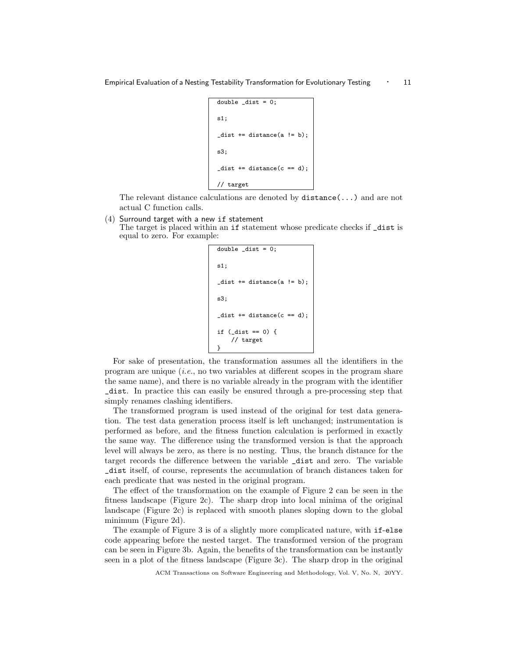```
double dist = 0;s1;
_list += distance(a != b);
s3;
_1dist += distance(c == d);
// target
```
The relevant distance calculations are denoted by distance(...) and are not actual C function calls.

- (4) Surround target with a new if statement
	- The target is placed within an if statement whose predicate checks if \_dist is equal to zero. For example:

```
double dist = 0;
s1;
\_dist += distance(a != b);s3;
_1dist += distance(c == d);
if (dist == 0) {
   // target
}
```
For sake of presentation, the transformation assumes all the identifiers in the program are unique (i.e., no two variables at different scopes in the program share the same name), and there is no variable already in the program with the identifier \_dist. In practice this can easily be ensured through a pre-processing step that simply renames clashing identifiers.

The transformed program is used instead of the original for test data generation. The test data generation process itself is left unchanged; instrumentation is performed as before, and the fitness function calculation is performed in exactly the same way. The difference using the transformed version is that the approach level will always be zero, as there is no nesting. Thus, the branch distance for the target records the difference between the variable \_dist and zero. The variable \_dist itself, of course, represents the accumulation of branch distances taken for each predicate that was nested in the original program.

The effect of the transformation on the example of Figure 2 can be seen in the fitness landscape (Figure 2c). The sharp drop into local minima of the original landscape (Figure 2c) is replaced with smooth planes sloping down to the global minimum (Figure 2d).

The example of Figure 3 is of a slightly more complicated nature, with if-else code appearing before the nested target. The transformed version of the program can be seen in Figure 3b. Again, the benefits of the transformation can be instantly seen in a plot of the fitness landscape (Figure 3c). The sharp drop in the original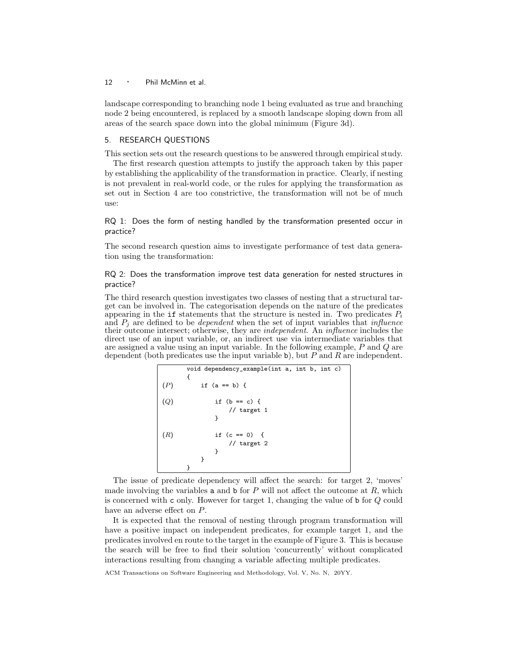landscape corresponding to branching node 1 being evaluated as true and branching node 2 being encountered, is replaced by a smooth landscape sloping down from all areas of the search space down into the global minimum (Figure 3d).

#### 5. RESEARCH QUESTIONS

This section sets out the research questions to be answered through empirical study.

The first research question attempts to justify the approach taken by this paper by establishing the applicability of the transformation in practice. Clearly, if nesting is not prevalent in real-world code, or the rules for applying the transformation as set out in Section 4 are too constrictive, the transformation will not be of much use:

RQ 1: Does the form of nesting handled by the transformation presented occur in practice?

The second research question aims to investigate performance of test data generation using the transformation:

RQ 2: Does the transformation improve test data generation for nested structures in practice?

The third research question investigates two classes of nesting that a structural target can be involved in. The categorisation depends on the nature of the predicates appearing in the if statements that the structure is nested in. Two predicates  $P_i$ and  $P_i$  are defined to be *dependent* when the set of input variables that *influence* their outcome intersect; otherwise, they are independent. An influence includes the direct use of an input variable, or, an indirect use via intermediate variables that are assigned a value using an input variable. In the following example, P and Q are dependent (both predicates use the input variable  $\mathbf{b}$ ), but P and R are independent.

```
void dependency_example(int a, int b, int c)
      {
(P) if (a == b) {
(Q) if (b == c) {
                // target 1
             }
(R) if (c == 0) {
                // target 2
            }
         }
      }
```
The issue of predicate dependency will affect the search: for target 2, 'moves' made involving the variables  $a$  and  $b$  for P will not affect the outcome at R, which is concerned with c only. However for target 1, changing the value of b for Q could have an adverse effect on P.

It is expected that the removal of nesting through program transformation will have a positive impact on independent predicates, for example target 1, and the predicates involved en route to the target in the example of Figure 3. This is because the search will be free to find their solution 'concurrently' without complicated interactions resulting from changing a variable affecting multiple predicates.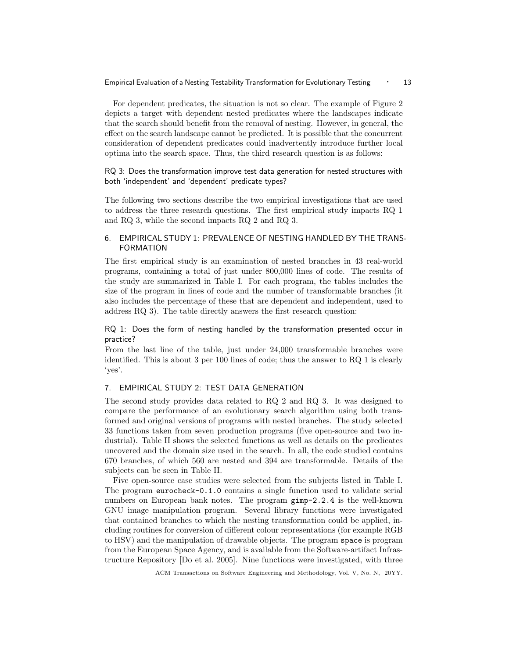For dependent predicates, the situation is not so clear. The example of Figure 2 depicts a target with dependent nested predicates where the landscapes indicate that the search should benefit from the removal of nesting. However, in general, the effect on the search landscape cannot be predicted. It is possible that the concurrent consideration of dependent predicates could inadvertently introduce further local optima into the search space. Thus, the third research question is as follows:

RQ 3: Does the transformation improve test data generation for nested structures with both 'independent' and 'dependent' predicate types?

The following two sections describe the two empirical investigations that are used to address the three research questions. The first empirical study impacts RQ 1 and RQ 3, while the second impacts RQ 2 and RQ 3.

# 6. EMPIRICAL STUDY 1: PREVALENCE OF NESTING HANDLED BY THE TRANS-FORMATION

The first empirical study is an examination of nested branches in 43 real-world programs, containing a total of just under 800,000 lines of code. The results of the study are summarized in Table I. For each program, the tables includes the size of the program in lines of code and the number of transformable branches (it also includes the percentage of these that are dependent and independent, used to address RQ 3). The table directly answers the first research question:

RQ 1: Does the form of nesting handled by the transformation presented occur in practice?

From the last line of the table, just under 24,000 transformable branches were identified. This is about 3 per 100 lines of code; thus the answer to RQ 1 is clearly 'yes'.

## 7. EMPIRICAL STUDY 2: TEST DATA GENERATION

The second study provides data related to RQ 2 and RQ 3. It was designed to compare the performance of an evolutionary search algorithm using both transformed and original versions of programs with nested branches. The study selected 33 functions taken from seven production programs (five open-source and two industrial). Table II shows the selected functions as well as details on the predicates uncovered and the domain size used in the search. In all, the code studied contains 670 branches, of which 560 are nested and 394 are transformable. Details of the subjects can be seen in Table II.

Five open-source case studies were selected from the subjects listed in Table I. The program eurocheck-0.1.0 contains a single function used to validate serial numbers on European bank notes. The program gimp-2.2.4 is the well-known GNU image manipulation program. Several library functions were investigated that contained branches to which the nesting transformation could be applied, including routines for conversion of different colour representations (for example RGB to HSV) and the manipulation of drawable objects. The program space is program from the European Space Agency, and is available from the Software-artifact Infrastructure Repository [Do et al. 2005]. Nine functions were investigated, with three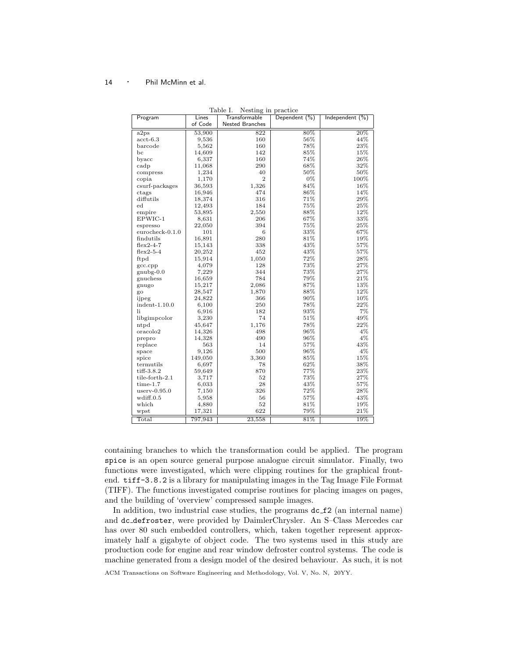| Program          | Lines   | $1.0001110$ $1.11$<br>Transformable | practice<br>Dependent (%) | Independent $(\%)$ |  |
|------------------|---------|-------------------------------------|---------------------------|--------------------|--|
|                  | of Code | Nested Branches                     |                           |                    |  |
|                  |         |                                     |                           |                    |  |
| a <sub>2ps</sub> | 53,900  | 822                                 | 80%                       | 20%                |  |
| $\text{act-}6.3$ | 9,536   | 160                                 | 56%                       | 44%                |  |
| barcode          | 5,562   | 160                                 | 78%                       | 23%                |  |
| bc               | 14,609  | 142                                 | 85%                       | 15%                |  |
| byacc            | 6,337   | 160                                 | 74%                       | 26%                |  |
| $\c{a}{d}p$      | 11,068  | 290                                 | 68%                       | 32%                |  |
| compress         | 1,234   | 40                                  | 50%                       | 50%                |  |
| copia            | 1,170   | $\overline{2}$                      | $0\%$                     | 100%               |  |
| csurf-packages   | 36,593  | 1,326                               | 84%                       | 16%                |  |
| ctags            | 16,946  | 474                                 | 86%                       | 14%                |  |
| diffutils        | 18,374  | 316                                 | 71%                       | 29%                |  |
| $_{\rm ed}$      | 12,493  | 184                                 | 75%                       | 25%                |  |
| empire           | 53,895  | 2,550                               | 88%                       | 12%                |  |
| EPWIC-1          | 8,631   | 206                                 | 67%                       | 33%                |  |
| espresso         | 22,050  | 394                                 | 75%                       | 25%                |  |
| eurocheck-0.1.0  | 101     | 6                                   | 33%                       | 67%                |  |
| findutils        | 16,891  | 280                                 | 81%                       | 19%                |  |
| $flex2-4-7$      | 15,143  | 338                                 | 43%                       | 57%                |  |
| $flex2-5-4$      | 20,252  | 452                                 | 43%                       | 57%                |  |
| ftpd             | 15,914  | 1,050                               | 72%                       | 28%                |  |
| gcc.cpp          | 4,079   | 128                                 | 73%                       | 27%                |  |
| $gnuby-0.0$      | 7,229   | 344                                 | 73%                       | 27%                |  |
| gnuchess         | 16,659  | 784                                 | 79%                       | 21%                |  |
| gnugo            | 15,217  | 2,086                               | 87%                       | 13%                |  |
| go               | 28,547  | 1,870                               | 88%                       | 12%                |  |
| ijpeg            | 24,822  | 366                                 | 90%                       | 10%                |  |
| $indent -1.10.0$ | 6,100   | 250                                 | 78%                       | 22%                |  |
| li               | 6,916   | 182                                 | 93%                       | 7%                 |  |
| libgimpcolor     | 3,230   | 74                                  | 51%                       | 49%                |  |
| ntpd             | 45,647  | 1,176                               | 78%                       | 22%                |  |
| oracolo2         | 14,326  | 498                                 | 96%                       | 4%                 |  |
| prepro           | 14,328  | 490                                 | 96%                       | 4%                 |  |
|                  |         | 14                                  | 57%                       | 43%                |  |
| replace          | 563     | 500                                 | 96%                       | 4%                 |  |
| space            | 9,126   |                                     |                           |                    |  |
| spice            | 149,050 | 3,360                               | 85%                       | 15%                |  |
| termutils        | 6,697   | 78                                  | 62%                       | 38%                |  |
| tiff-3.8.2       | 59,649  | 870                                 | 77%                       | 23%                |  |
| tile-forth-2.1   | 3,717   | 52                                  | 73%                       | 27%                |  |
| $time-1.7$       | 6,033   | 28                                  | 43%                       | 57%                |  |
| $userv-0.95.0$   | 7,150   | 326                                 | 72%                       | 28%                |  |
| wdiff.0.5        | 5,958   | 56                                  | 57%                       | 43%                |  |
| which            | 4,880   | 52                                  | 81%                       | 19%                |  |
| wpst             | 17,321  | 622                                 | 79%                       | 21%                |  |
| Total            | 797,943 | 23,558                              | 81%                       | 19%                |  |

Table I. Nesting in practice

containing branches to which the transformation could be applied. The program spice is an open source general purpose analogue circuit simulator. Finally, two functions were investigated, which were clipping routines for the graphical frontend. tiff-3.8.2 is a library for manipulating images in the Tag Image File Format (TIFF). The functions investigated comprise routines for placing images on pages, and the building of 'overview' compressed sample images.

In addition, two industrial case studies, the programs  $dc_f2$  (an internal name) and dc defroster, were provided by DaimlerChrysler. An S–Class Mercedes car has over 80 such embedded controllers, which, taken together represent approximately half a gigabyte of object code. The two systems used in this study are production code for engine and rear window defroster control systems. The code is machine generated from a design model of the desired behaviour. As such, it is not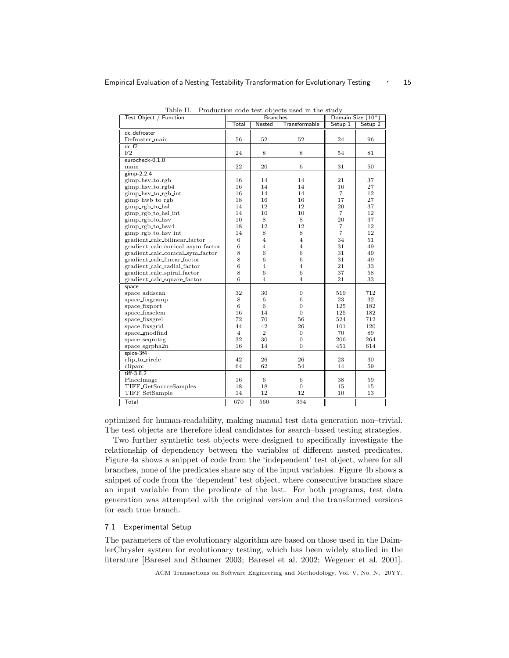| Test Object / Function            |                | <b>Branches</b> | Domain Size $(10x)$ |                |                    |
|-----------------------------------|----------------|-----------------|---------------------|----------------|--------------------|
|                                   | Total          | <b>Nested</b>   | Transformable       | Setup 1        | Setup <sub>2</sub> |
| dc_defroster                      |                |                 |                     |                |                    |
| Defroster_main                    | 56             | 52              | 52                  | 24             | 96                 |
| $dc_f2$                           |                |                 |                     |                |                    |
| F2                                | 24             | 8               | 8                   | 54             | 81                 |
| eurocheck-0.1.0                   |                |                 |                     |                |                    |
| main                              | 22             | 20              | 6                   | 31             | 50                 |
| $gimp-2.2.4$                      |                |                 |                     |                |                    |
| gimp_hsv_to_rgb                   | 16             | 14              | 14                  | 21             | 37                 |
| gimp_hsv_to_rgb4                  | 16             | 14              | 14                  | 16             | 27                 |
| gimp_hsv_to_rgb_int               | 16             | 14              | 14                  | $\overline{7}$ | 12                 |
| gimp_hwb_to_rgb                   | 18             | 16              | 16                  | 17             | 27                 |
| gimp_rgb_to_hsl                   | 14             | 12              | 12                  | 20             | 37                 |
| gimp_rgb_to_hsl_int               | 14             | 10              | 10                  | 7              | 12                 |
| gimp_rgb_to_hsv                   | 10             | 8               | 8                   | 20             | 37                 |
| gimp_rgb_to_hsv4                  | 18             | 12              | 12                  | $\overline{7}$ | 12                 |
| gimp_rgb_to_hsv_int               | 14             | 8               | 8                   | $\overline{7}$ | 12                 |
| gradient_calc_bilinear_factor     | 6              | $\overline{4}$  | 4                   | 34             | 51                 |
| gradient_calc_conical_asym_factor | 6              | $\overline{4}$  | $\overline{4}$      | 31             | 49                 |
| gradient_calc_conical_sym_factor  | 8              | 6               | 6                   | 31             | 49                 |
| gradient_calc_linear_factor       | 8              | 6               | 6                   | 31             | 49                 |
| gradient_calc_radial_factor       | 6              | $\overline{4}$  | $\overline{4}$      | 21             | 33                 |
| gradient_calc_spiral_factor       | 8              | 6               | 6                   | 37             | 58                 |
| gradient_calc_square_factor       | 6              | $\overline{4}$  | $\overline{4}$      | 21             | 33                 |
| space                             |                |                 |                     |                |                    |
| space_addscan                     | 32             | 30              | $\overline{0}$      | 519            | 712                |
| space_fixgramp                    | 8              | 6               | 6                   | 23             | 32                 |
| space_fixport                     | 6              | 6               | $\overline{0}$      | 125            | 182                |
| space_fixselem                    | 16             | 14              | $\overline{0}$      | 125            | 182                |
| space_fixsgrel                    | 72             | 70              | 56                  | 524            | 712                |
| space_fixsgrid                    | 44             | 42              | 26                  | 101            | 120                |
| space_gnodfind                    | $\overline{4}$ | $\overline{2}$  | $\overline{0}$      | 70             | 89                 |
| space_seqrotrg                    | 32             | 30              | $\overline{0}$      | 206            | 264                |
| space_sgrpha2n                    | 16             | 14              | $\Omega$            | 451            | 614                |
| spice-3f4                         |                |                 |                     |                |                    |
| clip_to_circle                    | 42             | 26              | 26                  | 23             | 30                 |
| cliparc                           | 64             | 62              | 54                  | 44             | 59                 |
| $\overline{\text{tff-3.8.2}}$     |                |                 |                     |                |                    |
| PlaceImage                        | 16             | 6               | 6                   | 38             | 59                 |
| TIFF <sub>-GetSourceSamples</sub> | 18             | 18              | $\overline{0}$      | 15             | 15                 |
| TIFF_SetSample                    | 14             | 12              | 12                  | 10             | 13                 |
| Total                             | 670            | 560             | 394                 |                |                    |

| Production code test objects used in the study |
|------------------------------------------------|
|------------------------------------------------|

optimized for human-readability, making manual test data generation non–trivial. The test objects are therefore ideal candidates for search–based testing strategies.

Two further synthetic test objects were designed to specifically investigate the relationship of dependency between the variables of different nested predicates. Figure 4a shows a snippet of code from the 'independent' test object, where for all branches, none of the predicates share any of the input variables. Figure 4b shows a snippet of code from the 'dependent' test object, where consecutive branches share an input variable from the predicate of the last. For both programs, test data generation was attempted with the original version and the transformed versions for each true branch.

### 7.1 Experimental Setup

The parameters of the evolutionary algorithm are based on those used in the DaimlerChrysler system for evolutionary testing, which has been widely studied in the literature [Baresel and Sthamer 2003; Baresel et al. 2002; Wegener et al. 2001].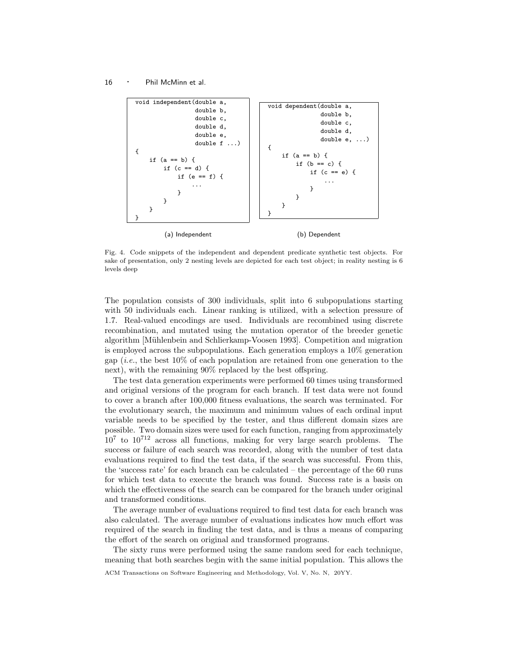

Fig. 4. Code snippets of the independent and dependent predicate synthetic test objects. For sake of presentation, only 2 nesting levels are depicted for each test object; in reality nesting is 6 levels deep

The population consists of 300 individuals, split into 6 subpopulations starting with 50 individuals each. Linear ranking is utilized, with a selection pressure of 1.7. Real-valued encodings are used. Individuals are recombined using discrete recombination, and mutated using the mutation operator of the breeder genetic algorithm [Mühlenbein and Schlierkamp-Voosen 1993]. Competition and migration is employed across the subpopulations. Each generation employs a 10% generation gap (*i.e.*, the best  $10\%$  of each population are retained from one generation to the next), with the remaining 90% replaced by the best offspring.

The test data generation experiments were performed 60 times using transformed and original versions of the program for each branch. If test data were not found to cover a branch after 100,000 fitness evaluations, the search was terminated. For the evolutionary search, the maximum and minimum values of each ordinal input variable needs to be specified by the tester, and thus different domain sizes are possible. Two domain sizes were used for each function, ranging from approximately  $10^7$  to  $10^{712}$  across all functions, making for very large search problems. The success or failure of each search was recorded, along with the number of test data evaluations required to find the test data, if the search was successful. From this, the 'success rate' for each branch can be calculated – the percentage of the 60 runs for which test data to execute the branch was found. Success rate is a basis on which the effectiveness of the search can be compared for the branch under original and transformed conditions.

The average number of evaluations required to find test data for each branch was also calculated. The average number of evaluations indicates how much effort was required of the search in finding the test data, and is thus a means of comparing the effort of the search on original and transformed programs.

The sixty runs were performed using the same random seed for each technique, meaning that both searches begin with the same initial population. This allows the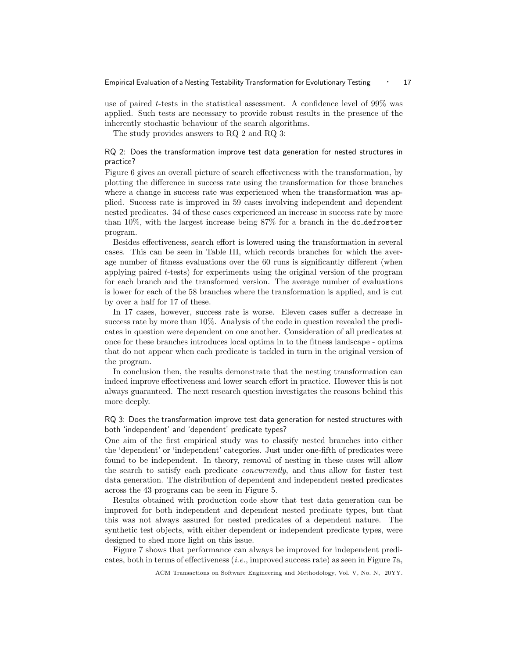use of paired t-tests in the statistical assessment. A confidence level of 99% was applied. Such tests are necessary to provide robust results in the presence of the inherently stochastic behaviour of the search algorithms.

The study provides answers to RQ 2 and RQ 3:

# RQ 2: Does the transformation improve test data generation for nested structures in practice?

Figure 6 gives an overall picture of search effectiveness with the transformation, by plotting the difference in success rate using the transformation for those branches where a change in success rate was experienced when the transformation was applied. Success rate is improved in 59 cases involving independent and dependent nested predicates. 34 of these cases experienced an increase in success rate by more than 10%, with the largest increase being 87% for a branch in the dc defroster program.

Besides effectiveness, search effort is lowered using the transformation in several cases. This can be seen in Table III, which records branches for which the average number of fitness evaluations over the 60 runs is significantly different (when applying paired t-tests) for experiments using the original version of the program for each branch and the transformed version. The average number of evaluations is lower for each of the 58 branches where the transformation is applied, and is cut by over a half for 17 of these.

In 17 cases, however, success rate is worse. Eleven cases suffer a decrease in success rate by more than 10%. Analysis of the code in question revealed the predicates in question were dependent on one another. Consideration of all predicates at once for these branches introduces local optima in to the fitness landscape - optima that do not appear when each predicate is tackled in turn in the original version of the program.

In conclusion then, the results demonstrate that the nesting transformation can indeed improve effectiveness and lower search effort in practice. However this is not always guaranteed. The next research question investigates the reasons behind this more deeply.

# RQ 3: Does the transformation improve test data generation for nested structures with both 'independent' and 'dependent' predicate types?

One aim of the first empirical study was to classify nested branches into either the 'dependent' or 'independent' categories. Just under one-fifth of predicates were found to be independent. In theory, removal of nesting in these cases will allow the search to satisfy each predicate concurrently, and thus allow for faster test data generation. The distribution of dependent and independent nested predicates across the 43 programs can be seen in Figure 5.

Results obtained with production code show that test data generation can be improved for both independent and dependent nested predicate types, but that this was not always assured for nested predicates of a dependent nature. The synthetic test objects, with either dependent or independent predicate types, were designed to shed more light on this issue.

Figure 7 shows that performance can always be improved for independent predicates, both in terms of effectiveness  $(i.e.,$  improved success rate) as seen in Figure 7a,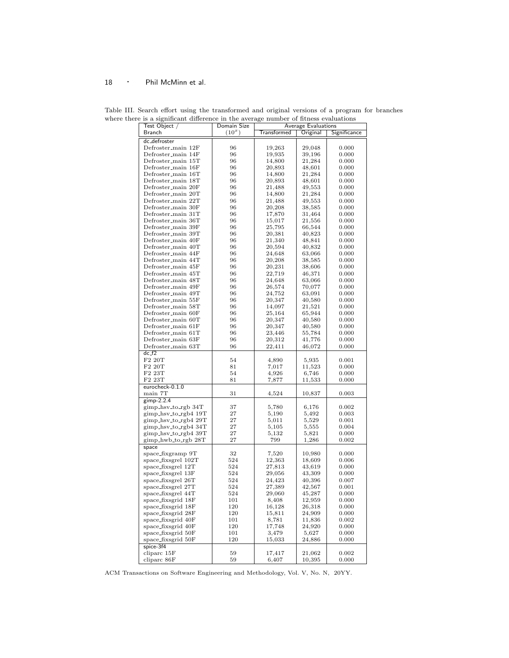| Test Object /        | Domain Size | Average Evaluations |          |              |  |  |
|----------------------|-------------|---------------------|----------|--------------|--|--|
| Branch               | $(10^{x})$  | Transformed         | Original | Significance |  |  |
| dc_defroster         |             |                     |          |              |  |  |
| Defroster_main 12F   | 96          | 19,263              | 29,048   | 0.000        |  |  |
| Defroster_main 14F   | 96          | 19,935              | 39,196   | 0.000        |  |  |
| Defroster_main 15T   | 96          | 14,800              | 21,284   | 0.000        |  |  |
| Defroster_main 16F   | 96          |                     |          | 0.000        |  |  |
|                      |             | 20,893              | 48,601   |              |  |  |
| Defroster_main 16T   | 96          | 14,800              | 21,284   | 0.000        |  |  |
| Defroster_main 18T   | 96          | 20,893              | 48,601   | 0.000        |  |  |
| Defroster_main 20F   | 96          | 21,488              | 49,553   | 0.000        |  |  |
| Defroster_main 20T   | 96          | 14,800              | 21,284   | 0.000        |  |  |
| Defroster_main 22T   | 96          | 21,488              | 49,553   | 0.000        |  |  |
| Defroster_main 30F   | 96          | 20,208              | 38,585   | 0.000        |  |  |
| Defroster_main 31T   | 96          | 17,870              | 31,464   | 0.000        |  |  |
| Defroster_main 36T   | 96          | 15,017              | 21,556   | 0.000        |  |  |
| Defroster_main 39F   | 96          | 25,795              | 66,544   | 0.000        |  |  |
| Defroster_main 39T   | 96          | 20,381              | 40,823   | 0.000        |  |  |
| Defroster_main 40F   | 96          | 21,340              | 48,841   | 0.000        |  |  |
| Defroster_main 40T   | 96          | 20,594              | 40,832   | 0.000        |  |  |
| Defroster_main 44F   | 96          | 24,648              | 63,066   | 0.000        |  |  |
| Defroster_main 44T   | 96          | 20,208              | 38,585   | 0.000        |  |  |
| Defroster_main 45F   | 96          | 20,231              | 38,606   | 0.000        |  |  |
| Defroster_main 45T   | 96          | 22,719              | 46,371   | 0.000        |  |  |
| Defroster_main 48T   | 96          | 24,648              | 63,066   | 0.000        |  |  |
| Defroster_main 49F   | 96          | 26,574              | 70,077   | 0.000        |  |  |
| Defroster_main 49T   | 96          | 24,752              | 63,091   | 0.000        |  |  |
| Defroster_main 55F   | 96          |                     |          |              |  |  |
|                      |             | 20,347              | 40,580   | 0.000        |  |  |
| Defroster_main 58T   | 96          | 14,097              | 21,521   | 0.000        |  |  |
| Defroster_main 60F   | 96          | 25,164              | 65,944   | 0.000        |  |  |
| Defroster_main 60T   | 96          | 20,347              | 40,580   | 0.000        |  |  |
| Defroster_main 61F   | 96          | 20,347              | 40,580   | 0.000        |  |  |
| Defroster_main 61T   | 96          | 23,446              | 55,784   | 0.000        |  |  |
| Defroster_main 63F   | 96          | 20,312              | 41,776   | 0.000        |  |  |
| Defroster_main 63T   | 96          | 22,411              | 46,072   | 0.000        |  |  |
| $dc_f2$              |             |                     |          |              |  |  |
| F2 20T               | 54          | 4,890               | 5,935    | 0.001        |  |  |
| F2 20T               | 81          | 7,017               | 11,523   | 0.000        |  |  |
| F2 23T               | 54          | 4,926               | 6,746    | 0.000        |  |  |
| F2 23T               | 81          | 7,877               | 11,533   | 0.000        |  |  |
| eurocheck-0.1.0      |             |                     |          |              |  |  |
| main 7T              | 31          | 4,524               | 10,837   | 0.003        |  |  |
| $gimp-2.2.4$         |             |                     |          |              |  |  |
| gimp_hsv_to_rgb 34T  | 37          | 5,780               | 6,176    | 0.002        |  |  |
| gimp_hsv_to_rgb4 19T | 27          | 5,190               | 5,492    | 0.003        |  |  |
| gimp_hsv_to_rgb4 29T | 27          | 5,011               | 5,529    | 0.001        |  |  |
|                      | 27          |                     |          |              |  |  |
| gimp_hsv_to_rgb4 34T |             | 5,105               | 5,555    | 0.004        |  |  |
| gimp_hsv_to_rgb4 39T | 27          | 5,132               | 5,821    | 0.000        |  |  |
| gimp_hwb_to_rgb 28T  | 27          | 799                 | 1,286    | 0.002        |  |  |
| space                |             |                     |          |              |  |  |
| space_fixgramp 9T    | 32          | 7,520               | 10,980   | 0.000        |  |  |
| space_fixsgrel 102T  | 524         | 12,363              | 18,609   | 0.006        |  |  |
| space_fixsgrel 12T   | 524         | 27,813              | 43,619   | 0.000        |  |  |
| space_fixsgrel 13F   | 524         | 29,056              | 43,309   | 0.000        |  |  |
| space_fixsgrel 26T   | 524         | 24,423              | 40,396   | 0.007        |  |  |
| space_fixsgrel 27T   | 524         | 27,389              | 42,567   | 0.001        |  |  |
| space_fixsgrel 44T   | 524         | 29,060              | 45,287   | 0.000        |  |  |
| space_fixsgrid 18F   | 101         | 8,408               | 12,959   | 0.000        |  |  |
| space_fixsgrid 18F   | 120         | 16,128              | 26,318   | 0.000        |  |  |
| space_fixsgrid 28F   | 120         | 15,811              | 24,909   | 0.000        |  |  |
| space_fixsgrid 40F   | 101         | 8,781               | 11,836   | 0.002        |  |  |
| space_fixsgrid 40F   | 120         | 17,748              | 24,920   | 0.000        |  |  |
| space_fixsgrid 50F   | 101         | 3,479               | 5,627    | 0.000        |  |  |
| space_fixsgrid 50F   | 120         | 15,033              | 24,886   | 0.000        |  |  |
| spice-3f4            |             |                     |          |              |  |  |
| cliparc 15F          | 59          | 17,417              | 21,062   | 0.002        |  |  |
| cliparc 86F          | 59          | 6,407               |          | 0.000        |  |  |
|                      |             |                     | 10,395   |              |  |  |

Table III. Search effort using the transformed and original versions of a program for branches where there is a significant difference in the average number of fitness evaluations

ACM Transactions on Software Engineering and Methodology, Vol. V, No. N, 20YY.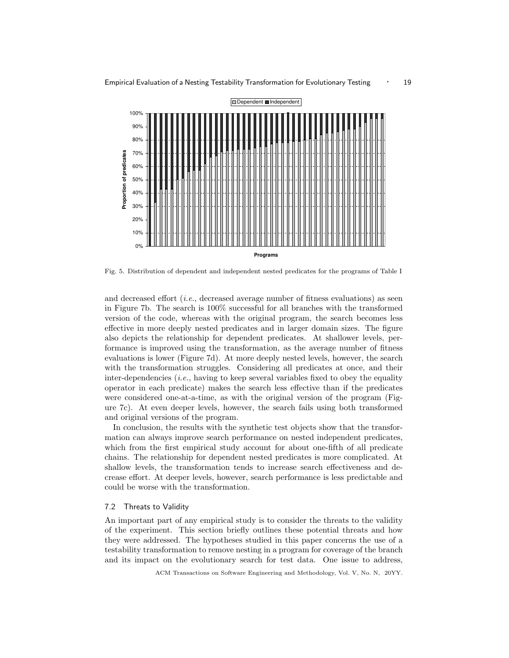

Fig. 5. Distribution of dependent and independent nested predicates for the programs of Table I

and decreased effort  $(i.e.,$  decreased average number of fitness evaluations) as seen in Figure 7b. The search is 100% successful for all branches with the transformed version of the code, whereas with the original program, the search becomes less effective in more deeply nested predicates and in larger domain sizes. The figure also depicts the relationship for dependent predicates. At shallower levels, performance is improved using the transformation, as the average number of fitness evaluations is lower (Figure 7d). At more deeply nested levels, however, the search with the transformation struggles. Considering all predicates at once, and their inter-dependencies  $(i.e.,$  having to keep several variables fixed to obey the equality operator in each predicate) makes the search less effective than if the predicates were considered one-at-a-time, as with the original version of the program (Figure 7c). At even deeper levels, however, the search fails using both transformed and original versions of the program.

In conclusion, the results with the synthetic test objects show that the transformation can always improve search performance on nested independent predicates, which from the first empirical study account for about one-fifth of all predicate chains. The relationship for dependent nested predicates is more complicated. At shallow levels, the transformation tends to increase search effectiveness and decrease effort. At deeper levels, however, search performance is less predictable and could be worse with the transformation.

### 7.2 Threats to Validity

An important part of any empirical study is to consider the threats to the validity of the experiment. This section briefly outlines these potential threats and how they were addressed. The hypotheses studied in this paper concerns the use of a testability transformation to remove nesting in a program for coverage of the branch and its impact on the evolutionary search for test data. One issue to address,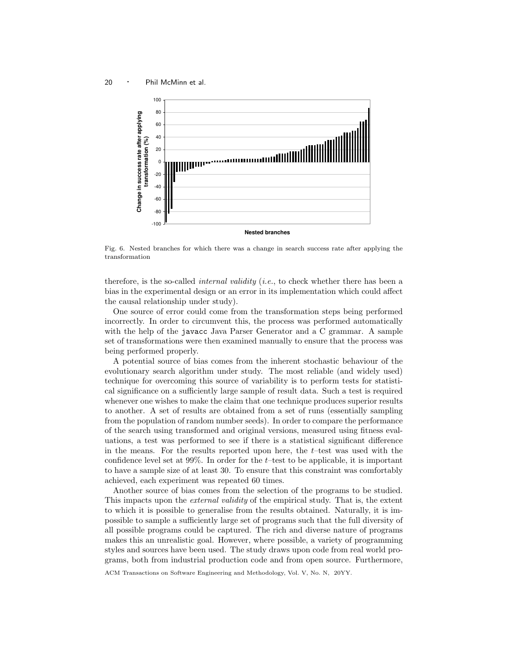20 · Phil McMinn et al.



Fig. 6. Nested branches for which there was a change in search success rate after applying the transformation

therefore, is the so-called *internal validity* (*i.e.*, to check whether there has been a bias in the experimental design or an error in its implementation which could affect the causal relationship under study).

One source of error could come from the transformation steps being performed incorrectly. In order to circumvent this, the process was performed automatically with the help of the javacc Java Parser Generator and a C grammar. A sample set of transformations were then examined manually to ensure that the process was being performed properly.

A potential source of bias comes from the inherent stochastic behaviour of the evolutionary search algorithm under study. The most reliable (and widely used) technique for overcoming this source of variability is to perform tests for statistical significance on a sufficiently large sample of result data. Such a test is required whenever one wishes to make the claim that one technique produces superior results to another. A set of results are obtained from a set of runs (essentially sampling from the population of random number seeds). In order to compare the performance of the search using transformed and original versions, measured using fitness evaluations, a test was performed to see if there is a statistical significant difference in the means. For the results reported upon here, the  $t$ –test was used with the confidence level set at 99%. In order for the t–test to be applicable, it is important to have a sample size of at least 30. To ensure that this constraint was comfortably achieved, each experiment was repeated 60 times.

Another source of bias comes from the selection of the programs to be studied. This impacts upon the *external validity* of the empirical study. That is, the extent to which it is possible to generalise from the results obtained. Naturally, it is impossible to sample a sufficiently large set of programs such that the full diversity of all possible programs could be captured. The rich and diverse nature of programs makes this an unrealistic goal. However, where possible, a variety of programming styles and sources have been used. The study draws upon code from real world programs, both from industrial production code and from open source. Furthermore,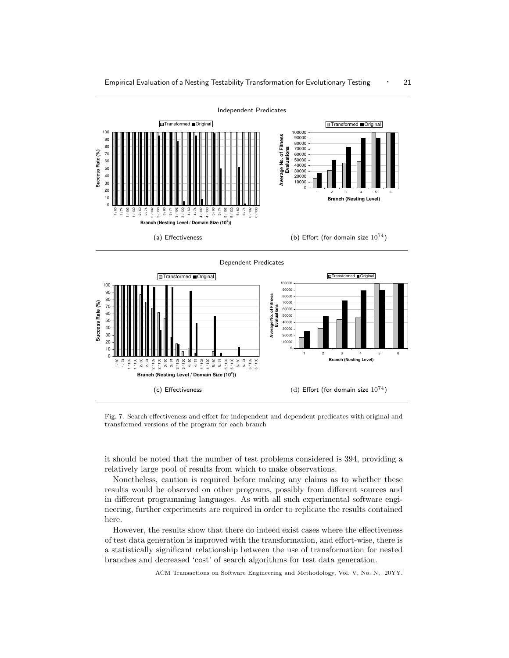

Fig. 7. Search effectiveness and effort for independent and dependent predicates with original and transformed versions of the program for each branch

it should be noted that the number of test problems considered is 394, providing a relatively large pool of results from which to make observations.

Nonetheless, caution is required before making any claims as to whether these results would be observed on other programs, possibly from different sources and in different programming languages. As with all such experimental software engineering, further experiments are required in order to replicate the results contained here.

However, the results show that there do indeed exist cases where the effectiveness of test data generation is improved with the transformation, and effort-wise, there is a statistically significant relationship between the use of transformation for nested branches and decreased 'cost' of search algorithms for test data generation.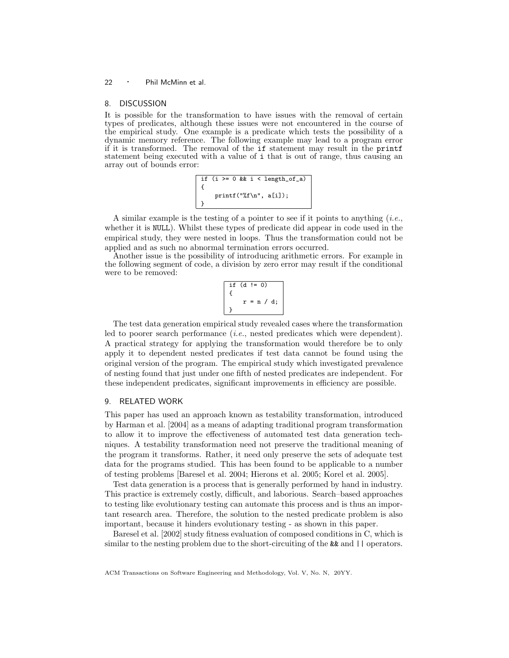#### 8. DISCUSSION

It is possible for the transformation to have issues with the removal of certain types of predicates, although these issues were not encountered in the course of the empirical study. One example is a predicate which tests the possibility of a dynamic memory reference. The following example may lead to a program error if it is transformed. The removal of the if statement may result in the printf statement being executed with a value of i that is out of range, thus causing an array out of bounds error:

|                          |  |  |  |  |  | if $(i \ge 0$ && $i \le length_of_a)$ |  |
|--------------------------|--|--|--|--|--|---------------------------------------|--|
|                          |  |  |  |  |  |                                       |  |
| printf("%f\n", $a[i]$ ); |  |  |  |  |  |                                       |  |
|                          |  |  |  |  |  |                                       |  |

A similar example is the testing of a pointer to see if it points to anything  $(i.e.,$ whether it is NULL). Whilst these types of predicate did appear in code used in the empirical study, they were nested in loops. Thus the transformation could not be applied and as such no abnormal termination errors occurred.

Another issue is the possibility of introducing arithmetic errors. For example in the following segment of code, a division by zero error may result if the conditional were to be removed:

if (d != 0)  
{  

$$
r = n / d;
$$
  
}

The test data generation empirical study revealed cases where the transformation led to poorer search performance (i.e., nested predicates which were dependent). A practical strategy for applying the transformation would therefore be to only apply it to dependent nested predicates if test data cannot be found using the original version of the program. The empirical study which investigated prevalence of nesting found that just under one fifth of nested predicates are independent. For these independent predicates, significant improvements in efficiency are possible.

#### 9. RELATED WORK

This paper has used an approach known as testability transformation, introduced by Harman et al. [2004] as a means of adapting traditional program transformation to allow it to improve the effectiveness of automated test data generation techniques. A testability transformation need not preserve the traditional meaning of the program it transforms. Rather, it need only preserve the sets of adequate test data for the programs studied. This has been found to be applicable to a number of testing problems [Baresel et al. 2004; Hierons et al. 2005; Korel et al. 2005].

Test data generation is a process that is generally performed by hand in industry. This practice is extremely costly, difficult, and laborious. Search–based approaches to testing like evolutionary testing can automate this process and is thus an important research area. Therefore, the solution to the nested predicate problem is also important, because it hinders evolutionary testing - as shown in this paper.

Baresel et al. [2002] study fitness evaluation of composed conditions in C, which is similar to the nesting problem due to the short-circuiting of the  $\&$  and  $\vert \vert$  operators.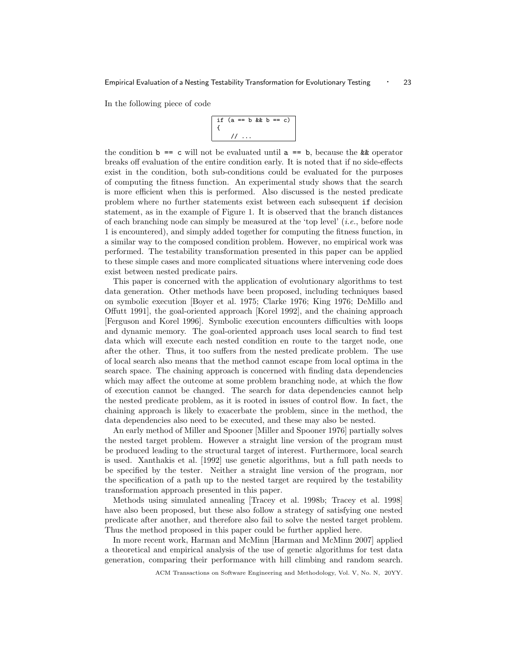In the following piece of code

$$
\begin{bmatrix}\n \text{if } (a == b \& k \ b == c) \\
 \text{if } (b == c) \\
 \text{if } (b == c) \\
 \end{bmatrix}
$$

the condition  $b == c$  will not be evaluated until  $a == b$ , because the && operator breaks off evaluation of the entire condition early. It is noted that if no side-effects exist in the condition, both sub-conditions could be evaluated for the purposes of computing the fitness function. An experimental study shows that the search is more efficient when this is performed. Also discussed is the nested predicate problem where no further statements exist between each subsequent if decision statement, as in the example of Figure 1. It is observed that the branch distances of each branching node can simply be measured at the 'top level'  $(i.e.,$  before node 1 is encountered), and simply added together for computing the fitness function, in a similar way to the composed condition problem. However, no empirical work was performed. The testability transformation presented in this paper can be applied to these simple cases and more complicated situations where intervening code does exist between nested predicate pairs.

This paper is concerned with the application of evolutionary algorithms to test data generation. Other methods have been proposed, including techniques based on symbolic execution [Boyer et al. 1975; Clarke 1976; King 1976; DeMillo and Offutt 1991], the goal-oriented approach [Korel 1992], and the chaining approach [Ferguson and Korel 1996]. Symbolic execution encounters difficulties with loops and dynamic memory. The goal-oriented approach uses local search to find test data which will execute each nested condition en route to the target node, one after the other. Thus, it too suffers from the nested predicate problem. The use of local search also means that the method cannot escape from local optima in the search space. The chaining approach is concerned with finding data dependencies which may affect the outcome at some problem branching node, at which the flow of execution cannot be changed. The search for data dependencies cannot help the nested predicate problem, as it is rooted in issues of control flow. In fact, the chaining approach is likely to exacerbate the problem, since in the method, the data dependencies also need to be executed, and these may also be nested.

An early method of Miller and Spooner [Miller and Spooner 1976] partially solves the nested target problem. However a straight line version of the program must be produced leading to the structural target of interest. Furthermore, local search is used. Xanthakis et al. [1992] use genetic algorithms, but a full path needs to be specified by the tester. Neither a straight line version of the program, nor the specification of a path up to the nested target are required by the testability transformation approach presented in this paper.

Methods using simulated annealing [Tracey et al. 1998b; Tracey et al. 1998] have also been proposed, but these also follow a strategy of satisfying one nested predicate after another, and therefore also fail to solve the nested target problem. Thus the method proposed in this paper could be further applied here.

In more recent work, Harman and McMinn [Harman and McMinn 2007] applied a theoretical and empirical analysis of the use of genetic algorithms for test data generation, comparing their performance with hill climbing and random search.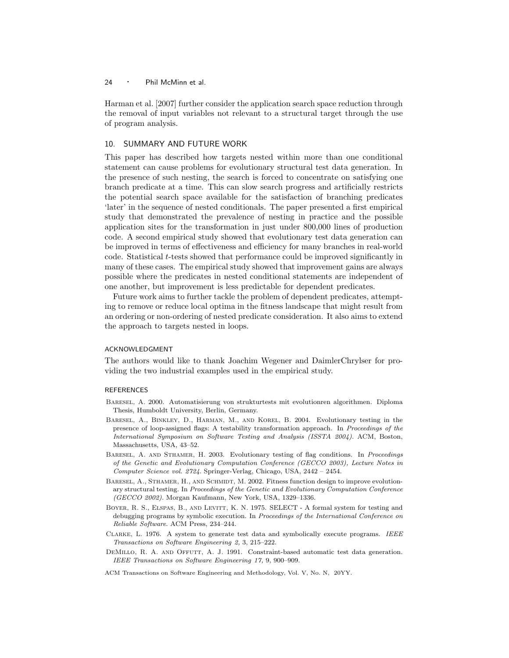Harman et al. [2007] further consider the application search space reduction through the removal of input variables not relevant to a structural target through the use of program analysis.

#### 10. SUMMARY AND FUTURE WORK

This paper has described how targets nested within more than one conditional statement can cause problems for evolutionary structural test data generation. In the presence of such nesting, the search is forced to concentrate on satisfying one branch predicate at a time. This can slow search progress and artificially restricts the potential search space available for the satisfaction of branching predicates 'later' in the sequence of nested conditionals. The paper presented a first empirical study that demonstrated the prevalence of nesting in practice and the possible application sites for the transformation in just under 800,000 lines of production code. A second empirical study showed that evolutionary test data generation can be improved in terms of effectiveness and efficiency for many branches in real-world code. Statistical t-tests showed that performance could be improved significantly in many of these cases. The empirical study showed that improvement gains are always possible where the predicates in nested conditional statements are independent of one another, but improvement is less predictable for dependent predicates.

Future work aims to further tackle the problem of dependent predicates, attempting to remove or reduce local optima in the fitness landscape that might result from an ordering or non-ordering of nested predicate consideration. It also aims to extend the approach to targets nested in loops.

#### ACKNOWLEDGMENT

The authors would like to thank Joachim Wegener and DaimlerChrylser for providing the two industrial examples used in the empirical study.

#### REFERENCES

- Baresel, A. 2000. Automatisierung von strukturtests mit evolutionren algorithmen. Diploma Thesis, Humboldt University, Berlin, Germany.
- Baresel, A., Binkley, D., Harman, M., and Korel, B. 2004. Evolutionary testing in the presence of loop-assigned flags: A testability transformation approach. In Proceedings of the International Symposium on Software Testing and Analysis (ISSTA 2004). ACM, Boston, Massachusetts, USA, 43–52.
- BARESEL, A. AND STHAMER, H. 2003. Evolutionary testing of flag conditions. In Proceedings of the Genetic and Evolutionary Computation Conference (GECCO 2003), Lecture Notes in Computer Science vol. 2724. Springer-Verlag, Chicago, USA, 2442 – 2454.
- BARESEL, A., STHAMER, H., AND SCHMIDT, M. 2002. Fitness function design to improve evolutionary structural testing. In Proceedings of the Genetic and Evolutionary Computation Conference (GECCO 2002). Morgan Kaufmann, New York, USA, 1329–1336.
- BOYER, R. S., ELSPAS, B., AND LEVITT, K. N. 1975. SELECT A formal system for testing and debugging programs by symbolic execution. In Proceedings of the International Conference on Reliable Software. ACM Press, 234–244.
- Clarke, L. 1976. A system to generate test data and symbolically execute programs. IEEE Transactions on Software Engineering 2, 3, 215–222.
- DEMILLO, R. A. AND OFFUTT, A. J. 1991. Constraint-based automatic test data generation. IEEE Transactions on Software Engineering 17, 9, 900–909.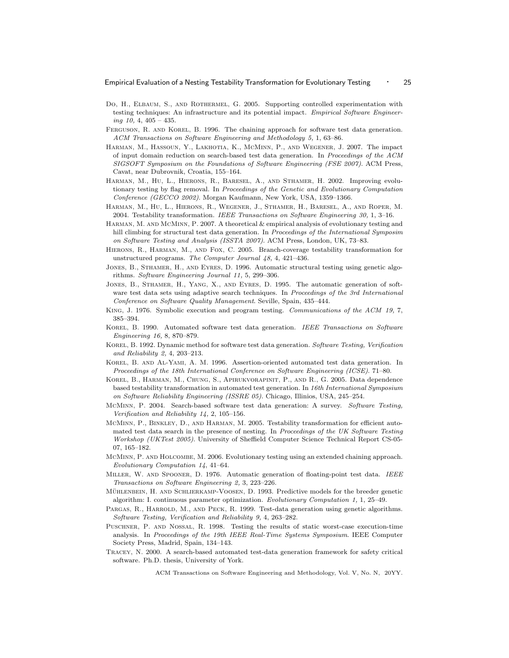#### Empirical Evaluation of a Nesting Testability Transformation for Evolutionary Testing • 25

- Do, H., ELBAUM, S., AND ROTHERMEL, G. 2005. Supporting controlled experimentation with testing techniques: An infrastructure and its potential impact. Empirical Software Engineer $inq$  10, 4, 405 – 435.
- Ferguson, R. and Korel, B. 1996. The chaining approach for software test data generation. ACM Transactions on Software Engineering and Methodology 5, 1, 63–86.
- Harman, M., Hassoun, Y., Lakhotia, K., McMinn, P., and Wegener, J. 2007. The impact of input domain reduction on search-based test data generation. In Proceedings of the ACM SIGSOFT Symposium on the Foundations of Software Engineering (FSE 2007). ACM Press, Cavat, near Dubrovnik, Croatia, 155–164.
- Harman, M., Hu, L., Hierons, R., Baresel, A., and Sthamer, H. 2002. Improving evolutionary testing by flag removal. In Proceedings of the Genetic and Evolutionary Computation Conference (GECCO 2002). Morgan Kaufmann, New York, USA, 1359–1366.
- Harman, M., Hu, L., Hierons, R., Wegener, J., Sthamer, H., Baresel, A., and Roper, M. 2004. Testability transformation. IEEE Transactions on Software Engineering 30, 1, 3–16.
- Harman, M. and McMinn, P. 2007. A theoretical & empirical analysis of evolutionary testing and hill climbing for structural test data generation. In Proceedings of the International Symposim on Software Testing and Analysis (ISSTA 2007). ACM Press, London, UK, 73–83.
- Hierons, R., Harman, M., and Fox, C. 2005. Branch-coverage testability transformation for unstructured programs. The Computer Journal 48, 4, 421–436.
- JONES, B., STHAMER, H., AND EYRES, D. 1996. Automatic structural testing using genetic algorithms. Software Engineering Journal 11, 5, 299–306.
- JONES, B., STHAMER, H., YANG, X., AND EYRES, D. 1995. The automatic generation of software test data sets using adaptive search techniques. In Proceedings of the 3rd International Conference on Software Quality Management. Seville, Spain, 435–444.
- King, J. 1976. Symbolic execution and program testing. Communications of the ACM 19, 7, 385–394.
- Korel, B. 1990. Automated software test data generation. IEEE Transactions on Software Engineering 16, 8, 870–879.
- KOREL, B. 1992. Dynamic method for software test data generation. Software Testing, Verification and Reliability 2, 4, 203–213.
- Korel, B. and Al-Yami, A. M. 1996. Assertion-oriented automated test data generation. In Proceedings of the 18th International Conference on Software Engineering (ICSE). 71–80.
- Korel, B., Harman, M., Chung, S., Apirukvorapinit, P., and R., G. 2005. Data dependence based testability transformation in automated test generation. In 16th International Symposium on Software Reliability Engineering (ISSRE 05). Chicago, Illinios, USA, 245–254.
- McMinn, P. 2004. Search-based software test data generation: A survey. Software Testing, Verification and Reliability 14, 2, 105–156.
- McMINN, P., BINKLEY, D., AND HARMAN, M. 2005. Testability transformation for efficient automated test data search in the presence of nesting. In Proceedings of the UK Software Testing Workshop (UKTest 2005). University of Sheffield Computer Science Technical Report CS-05- 07, 165–182.
- McMinn, P. and Holcombe, M. 2006. Evolutionary testing using an extended chaining approach. Evolutionary Computation 14, 41–64.
- Miller, W. and Spooner, D. 1976. Automatic generation of floating-point test data. IEEE Transactions on Software Engineering 2, 3, 223–226.
- MÜHLENBEIN, H. AND SCHLIERKAMP-VOOSEN, D. 1993. Predictive models for the breeder genetic algorithm: I. continuous parameter optimization. Evolutionary Computation 1, 1, 25–49.
- PARGAS, R., HARROLD, M., AND PECK, R. 1999. Test-data generation using genetic algorithms. Software Testing, Verification and Reliability 9, 4, 263–282.
- Puschner, P. and Nossal, R. 1998. Testing the results of static worst-case execution-time analysis. In Proceedings of the 19th IEEE Real-Time Systems Symposium. IEEE Computer Society Press, Madrid, Spain, 134–143.
- Tracey, N. 2000. A search-based automated test-data generation framework for safety critical software. Ph.D. thesis, University of York.